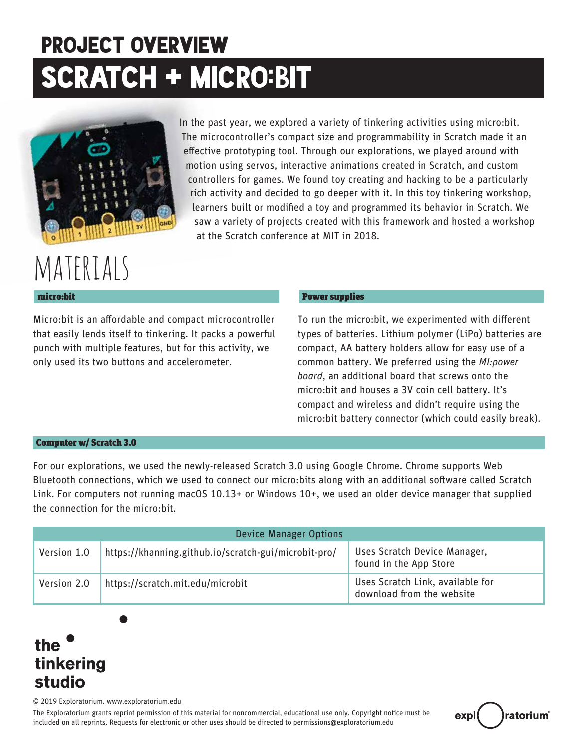### SCRATCH + MICRO:BIT PROJECT OVERVIEW



In the past year, we explored a variety of tinkering activities using micro:bit. The microcontroller's compact size and programmability in Scratch made it an effective prototyping tool. Through our explorations, we played around with motion using servos, interactive animations created in Scratch, and custom controllers for games. We found toy creating and hacking to be a particularly rich activity and decided to go deeper with it. In this toy tinkering workshop, learners built or modified a toy and programmed its behavior in Scratch. We saw a variety of projects created with this framework and hosted a workshop at the Scratch conference at MIT in 2018.

# materials

#### micro:bit

Micro: bit is an affordable and compact microcontroller that easily lends itself to tinkering. It packs a powerful punch with multiple features, but for this activity, we only used its two buttons and accelerometer.

#### Power supplies

To run the micro:bit, we experimented with different types of batteries. Lithium polymer (LiPo) batteries are compact, AA battery holders allow for easy use of a common battery. We preferred using the *MI:power board*, an additional board that screws onto the micro:bit and houses a 3V coin cell battery. It's compact and wireless and didn't require using the micro:bit battery connector (which could easily break).

#### Computer w/ Scratch 3.0

For our explorations, we used the newly-released Scratch 3.0 using Google Chrome. Chrome supports Web Bluetooth connections, which we used to connect our micro:bits along with an additional software called Scratch Link. For computers not running macOS 10.13+ or Windows 10+, we used an older device manager that supplied the connection for the micro:bit.

| <b>Device Manager Options</b> |                                                      |                                                               |
|-------------------------------|------------------------------------------------------|---------------------------------------------------------------|
| Version 1.0                   | https://khanning.github.io/scratch-gui/microbit-pro/ | Uses Scratch Device Manager,<br>found in the App Store        |
| Version 2.0                   | https://scratch.mit.edu/microbit                     | Uses Scratch Link, available for<br>download from the website |

### the tinkering studio

© 2019 Exploratorium. www.exploratorium.edu

The Exploratorium grants reprint permission of this material for noncommercial, educational use only. Copyright notice must be included on all reprints. Requests for electronic or other uses should be directed to permissions@exploratorium.edu

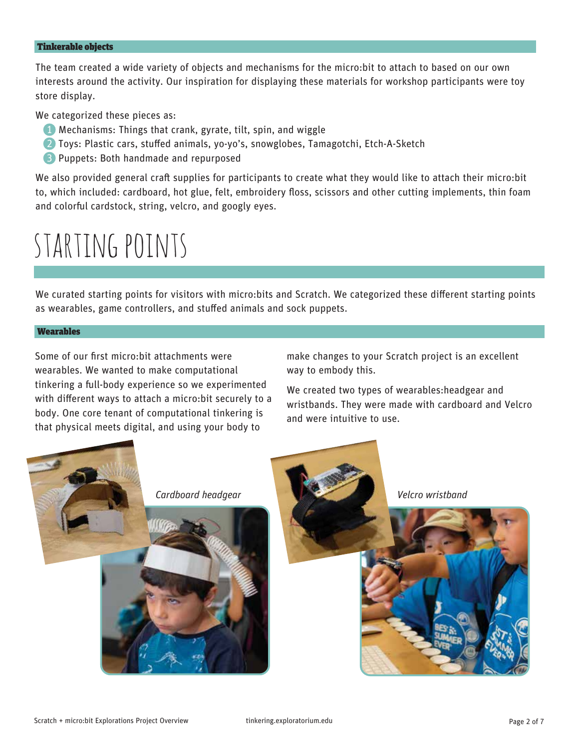#### Tinkerable objects

The team created a wide variety of objects and mechanisms for the micro:bit to attach to based on our own interests around the activity. Our inspiration for displaying these materials for workshop participants were toy store display.

We categorized these pieces as:

- 1 Mechanisms: Things that crank, gyrate, tilt, spin, and wiggle
- 2 Toys: Plastic cars, stuffed animals, yo-yo's, snowglobes, Tamagotchi, Etch-A-Sketch
- 3 Puppets: Both handmade and repurposed

We also provided general craft supplies for participants to create what they would like to attach their micro:bit to, which included: cardboard, hot glue, felt, embroidery floss, scissors and other cutting implements, thin foam and colorful cardstock, string, velcro, and googly eyes.

# starting points

We curated starting points for visitors with micro:bits and Scratch. We categorized these different starting points as wearables, game controllers, and stuffed animals and sock puppets.

#### Wearables

Some of our first micro: bit attachments were wearables. We wanted to make computational tinkering a full-body experience so we experimented with different ways to attach a micro:bit securely to a body. One core tenant of computational tinkering is that physical meets digital, and using your body to

make changes to your Scratch project is an excellent way to embody this.

We created two types of wearables:headgear and wristbands. They were made with cardboard and Velcro and were intuitive to use.

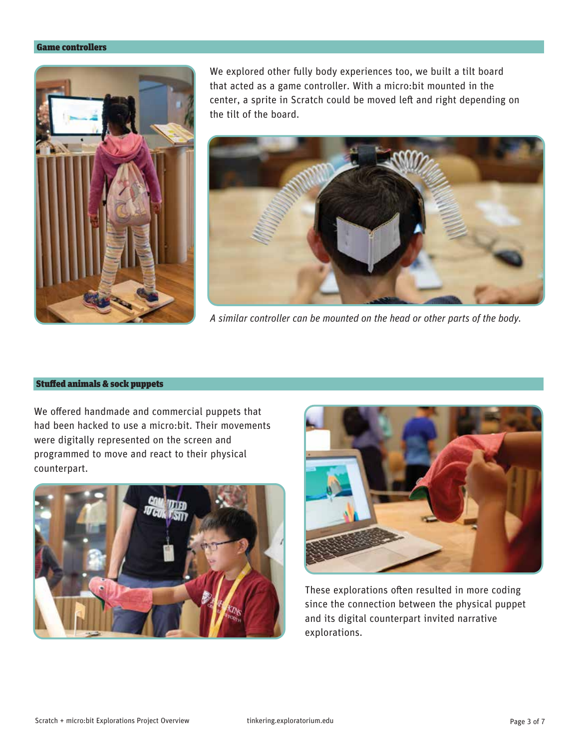#### Game controllers



We explored other fully body experiences too, we built a tilt board that acted as a game controller. With a micro:bit mounted in the center, a sprite in Scratch could be moved left and right depending on the tilt of the board.



*A similar controller can be mounted on the head or other parts of the body.*

#### Stuffed animals & sock puppets

We offered handmade and commercial puppets that had been hacked to use a micro:bit. Their movements were digitally represented on the screen and programmed to move and react to their physical counterpart.





These explorations often resulted in more coding since the connection between the physical puppet and its digital counterpart invited narrative explorations.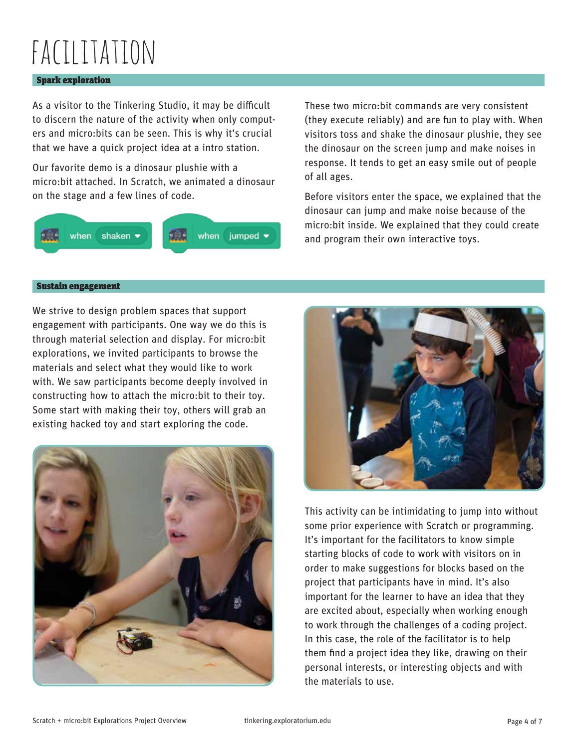# facilitation

#### Spark exploration

As a visitor to the Tinkering Studio, it may be difficult to discern the nature of the activity when only computers and micro:bits can be seen. This is why it's crucial that we have a quick project idea at a intro station.

Our favorite demo is a dinosaur plushie with a micro:bit attached. In Scratch, we animated a dinosaur on the stage and a few lines of code.



These two micro:bit commands are very consistent (they execute reliably) and are fun to play with. When visitors toss and shake the dinosaur plushie, they see the dinosaur on the screen jump and make noises in response. It tends to get an easy smile out of people of all ages.

Before visitors enter the space, we explained that the dinosaur can jump and make noise because of the micro:bit inside. We explained that they could create and program their own interactive toys.

#### Sustain engagement

We strive to design problem spaces that support engagement with participants. One way we do this is through material selection and display. For micro:bit explorations, we invited participants to browse the materials and select what they would like to work with. We saw participants become deeply involved in constructing how to attach the micro:bit to their toy. Some start with making their toy, others will grab an existing hacked toy and start exploring the code.





This activity can be intimidating to jump into without some prior experience with Scratch or programming. It's important for the facilitators to know simple starting blocks of code to work with visitors on in order to make suggestions for blocks based on the project that participants have in mind. It's also important for the learner to have an idea that they are excited about, especially when working enough to work through the challenges of a coding project. In this case, the role of the facilitator is to help them find a project idea they like, drawing on their personal interests, or interesting objects and with the materials to use.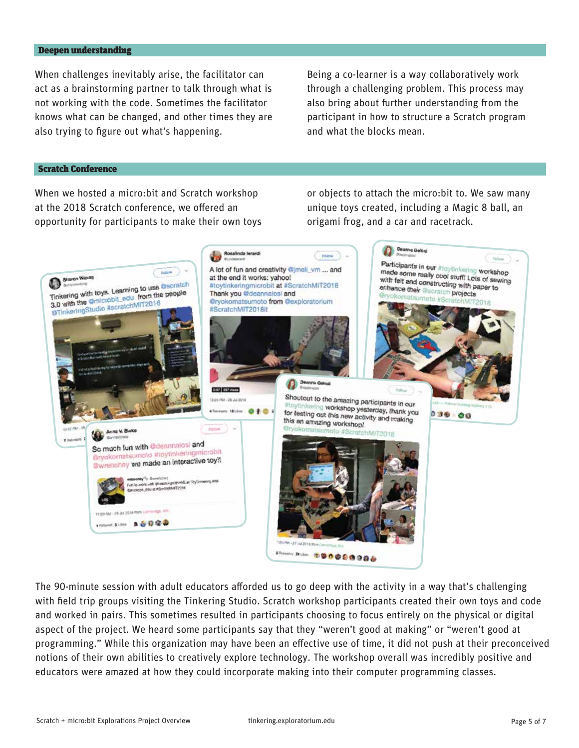#### Deepen understanding

When challenges inevitably arise, the facilitator can act as a brainstorming partner to talk through what is not working with the code. Sometimes the facilitator knows what can be changed, and other times they are also trying to figure out what's happening.

Being a co-learner is a way collaboratively work through a challenging problem. This process may also bring about further understanding from the participant in how to structure a Scratch program and what the blocks mean.

#### Scratch Conference

When we hosted a micro:bit and Scratch workshop at the 2018 Scratch conference, we offered an opportunity for participants to make their own toys or objects to attach the micro:bit to. We saw many unique toys created, including a Magic 8 ball, an origami frog, and a car and racetrack.



The 90-minute session with adult educators afforded us to go deep with the activity in a way that's challenging with field trip groups visiting the Tinkering Studio. Scratch workshop participants created their own toys and code and worked in pairs. This sometimes resulted in participants choosing to focus entirely on the physical or digital aspect of the project. We heard some participants say that they "weren't good at making" or "weren't good at programming." While this organization may have been an effective use of time, it did not push at their preconceived notions of their own abilities to creatively explore technology. The workshop overall was incredibly positive and educators were amazed at how they could incorporate making into their computer programming classes.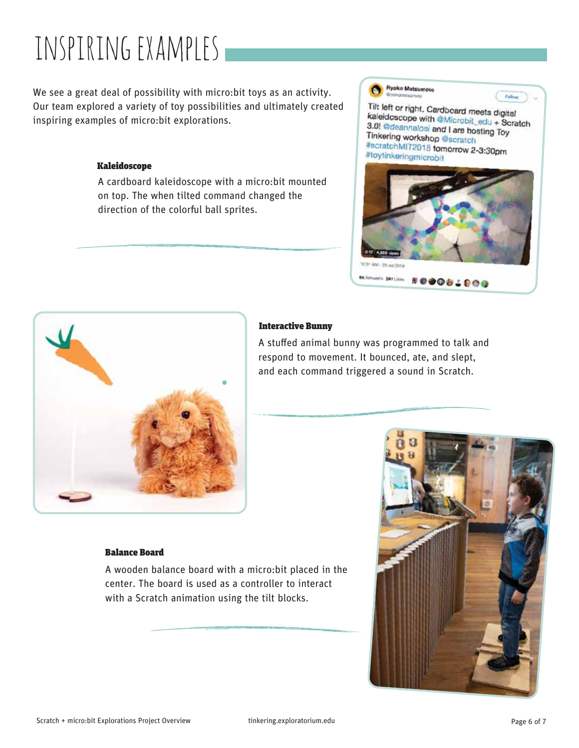# inspiring examples

We see a great deal of possibility with micro:bit toys as an activity. Our team explored a variety of toy possibilities and ultimately created inspiring examples of micro:bit explorations.

#### Kaleidoscope

A cardboard kaleidoscope with a micro:bit mounted on top. The when tilted command changed the direction of the colorful ball sprites.



Tilt left or right. Cardboard meets digital kaleidoscope with @Microbit\_edu + Scratch<br>3.0! @deannalogi.org i 3.0! @deannalosi and I are hosting Toy Tinkering workshop @scratch #scratchMIT2018 tomorrow 2-3:30pm #toytinkeringmicrobit

Falley





#### Interactive Bunny

A stuffed animal bunny was programmed to talk and respond to movement. It bounced, ate, and slept, and each command triggered a sound in Scratch.

#### Balance Board

A wooden balance board with a micro:bit placed in the center. The board is used as a controller to interact with a Scratch animation using the tilt blocks.